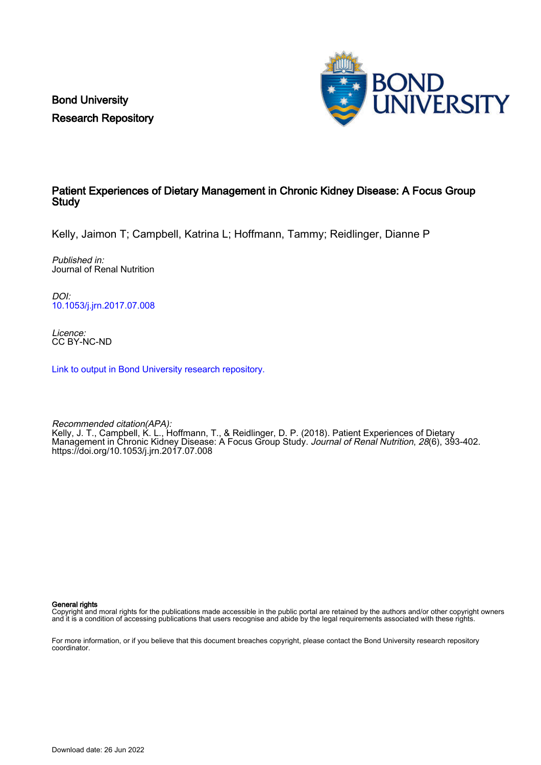Bond University Research Repository



## Patient Experiences of Dietary Management in Chronic Kidney Disease: A Focus Group Study

Kelly, Jaimon T; Campbell, Katrina L; Hoffmann, Tammy; Reidlinger, Dianne P

Published in: Journal of Renal Nutrition

DOI: [10.1053/j.jrn.2017.07.008](https://doi.org/10.1053/j.jrn.2017.07.008)

Licence: CC BY-NC-ND

[Link to output in Bond University research repository.](https://research.bond.edu.au/en/publications/fdcbfd46-85f3-45f2-92b7-c228bb253aea)

Recommended citation(APA): Kelly, J. T., Campbell, K. L., Hoffmann, T., & Reidlinger, D. P. (2018). Patient Experiences of Dietary Management in Chronic Kidney Disease: A Focus Group Study. Journal of Renal Nutrition, 28(6), 393-402. <https://doi.org/10.1053/j.jrn.2017.07.008>

General rights

Copyright and moral rights for the publications made accessible in the public portal are retained by the authors and/or other copyright owners and it is a condition of accessing publications that users recognise and abide by the legal requirements associated with these rights.

For more information, or if you believe that this document breaches copyright, please contact the Bond University research repository coordinator.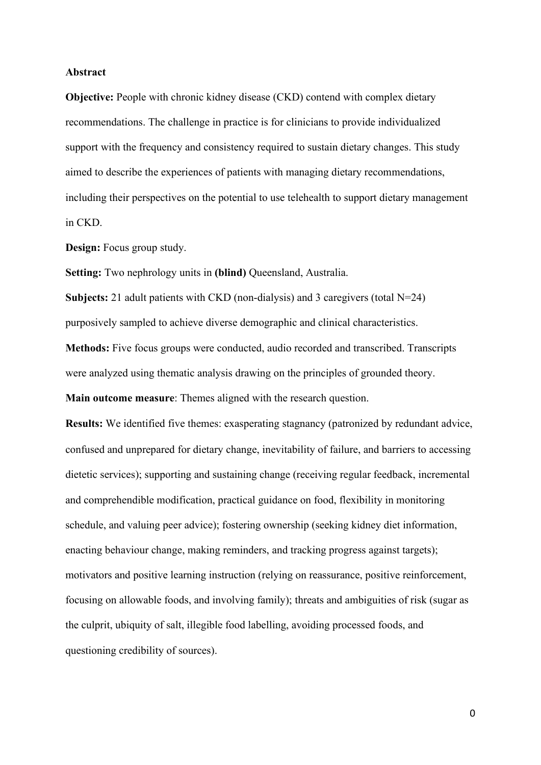### **Abstract**

**Objective:** People with chronic kidney disease (CKD) contend with complex dietary recommendations. The challenge in practice is for clinicians to provide individualized support with the frequency and consistency required to sustain dietary changes. This study aimed to describe the experiences of patients with managing dietary recommendations, including their perspectives on the potential to use telehealth to support dietary management in CKD.

**Design:** Focus group study.

**Setting:** Two nephrology units in **(blind)** Queensland, Australia.

**Subjects:** 21 adult patients with CKD (non-dialysis) and 3 caregivers (total N=24) purposively sampled to achieve diverse demographic and clinical characteristics.

**Methods:** Five focus groups were conducted, audio recorded and transcribed. Transcripts were analyzed using thematic analysis drawing on the principles of grounded theory.

**Main outcome measure**: Themes aligned with the research question.

**Results:** We identified five themes: exasperating stagnancy (patronized by redundant advice, confused and unprepared for dietary change, inevitability of failure, and barriers to accessing dietetic services); supporting and sustaining change (receiving regular feedback, incremental and comprehendible modification, practical guidance on food, flexibility in monitoring schedule, and valuing peer advice); fostering ownership (seeking kidney diet information, enacting behaviour change, making reminders, and tracking progress against targets); motivators and positive learning instruction (relying on reassurance, positive reinforcement, focusing on allowable foods, and involving family); threats and ambiguities of risk (sugar as the culprit, ubiquity of salt, illegible food labelling, avoiding processed foods, and questioning credibility of sources).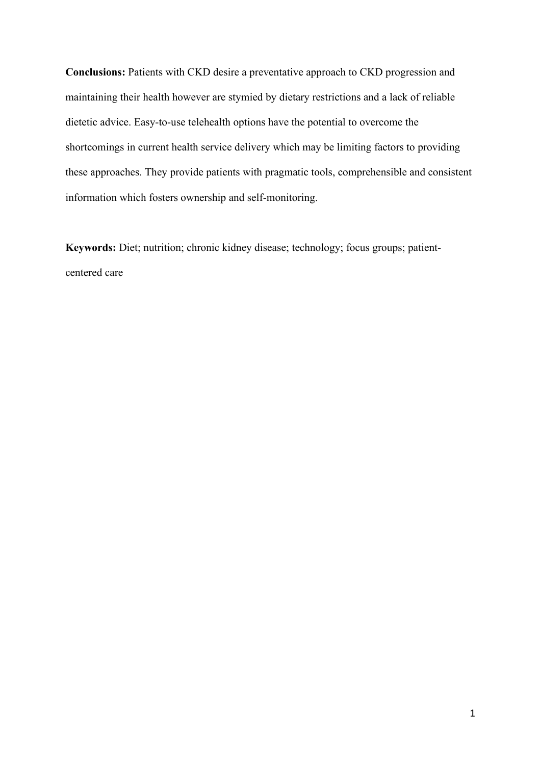**Conclusions:** Patients with CKD desire a preventative approach to CKD progression and maintaining their health however are stymied by dietary restrictions and a lack of reliable dietetic advice. Easy-to-use telehealth options have the potential to overcome the shortcomings in current health service delivery which may be limiting factors to providing these approaches. They provide patients with pragmatic tools, comprehensible and consistent information which fosters ownership and self-monitoring.

**Keywords:** Diet; nutrition; chronic kidney disease; technology; focus groups; patientcentered care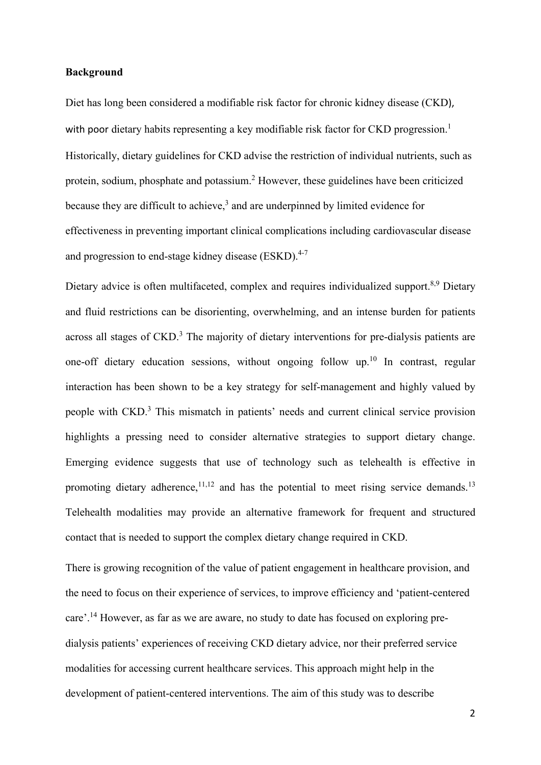### **Background**

Diet has long been considered a modifiable risk factor for chronic kidney disease (CKD), with poor dietary habits representing a key modifiable risk factor for CKD progression.<sup>1</sup> Historically, dietary guidelines for CKD advise the restriction of individual nutrients, such as protein, sodium, phosphate and potassium.2 However, these guidelines have been criticized because they are difficult to achieve, $3$  and are underpinned by limited evidence for effectiveness in preventing important clinical complications including cardiovascular disease and progression to end-stage kidney disease (ESKD).<sup>4-7</sup>

Dietary advice is often multifaceted, complex and requires individualized support.<sup>8,9</sup> Dietary and fluid restrictions can be disorienting, overwhelming, and an intense burden for patients across all stages of CKD.<sup>3</sup> The majority of dietary interventions for pre-dialysis patients are one-off dietary education sessions, without ongoing follow up.<sup>10</sup> In contrast, regular interaction has been shown to be a key strategy for self-management and highly valued by people with CKD.<sup>3</sup> This mismatch in patients' needs and current clinical service provision highlights a pressing need to consider alternative strategies to support dietary change. Emerging evidence suggests that use of technology such as telehealth is effective in promoting dietary adherence,<sup>11,12</sup> and has the potential to meet rising service demands.<sup>13</sup> Telehealth modalities may provide an alternative framework for frequent and structured contact that is needed to support the complex dietary change required in CKD.

There is growing recognition of the value of patient engagement in healthcare provision, and the need to focus on their experience of services, to improve efficiency and 'patient-centered care'.14 However, as far as we are aware, no study to date has focused on exploring predialysis patients' experiences of receiving CKD dietary advice, nor their preferred service modalities for accessing current healthcare services. This approach might help in the development of patient-centered interventions. The aim of this study was to describe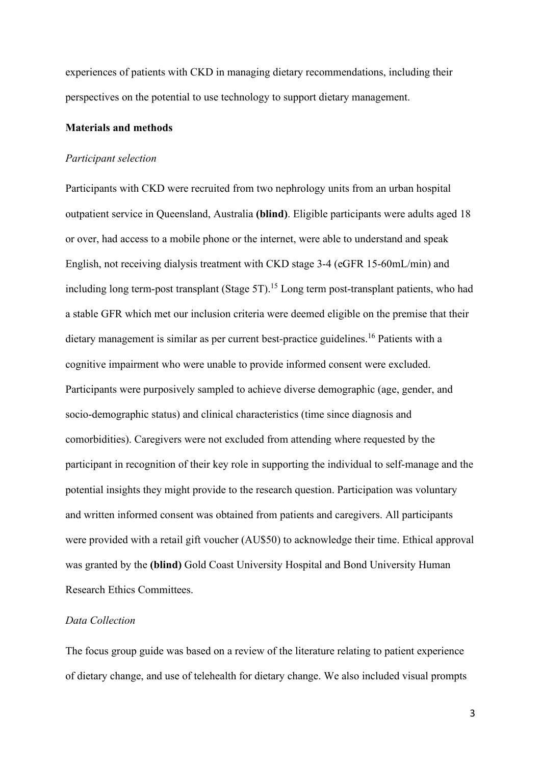experiences of patients with CKD in managing dietary recommendations, including their perspectives on the potential to use technology to support dietary management.

### **Materials and methods**

#### *Participant selection*

Participants with CKD were recruited from two nephrology units from an urban hospital outpatient service in Queensland, Australia **(blind)**. Eligible participants were adults aged 18 or over, had access to a mobile phone or the internet, were able to understand and speak English, not receiving dialysis treatment with CKD stage 3-4 (eGFR 15-60mL/min) and including long term-post transplant (Stage 5T). <sup>15</sup> Long term post-transplant patients, who had a stable GFR which met our inclusion criteria were deemed eligible on the premise that their dietary management is similar as per current best-practice guidelines.<sup>16</sup> Patients with a cognitive impairment who were unable to provide informed consent were excluded. Participants were purposively sampled to achieve diverse demographic (age, gender, and socio-demographic status) and clinical characteristics (time since diagnosis and comorbidities). Caregivers were not excluded from attending where requested by the participant in recognition of their key role in supporting the individual to self-manage and the potential insights they might provide to the research question. Participation was voluntary and written informed consent was obtained from patients and caregivers. All participants were provided with a retail gift voucher (AU\$50) to acknowledge their time. Ethical approval was granted by the **(blind)** Gold Coast University Hospital and Bond University Human Research Ethics Committees.

### *Data Collection*

The focus group guide was based on a review of the literature relating to patient experience of dietary change, and use of telehealth for dietary change. We also included visual prompts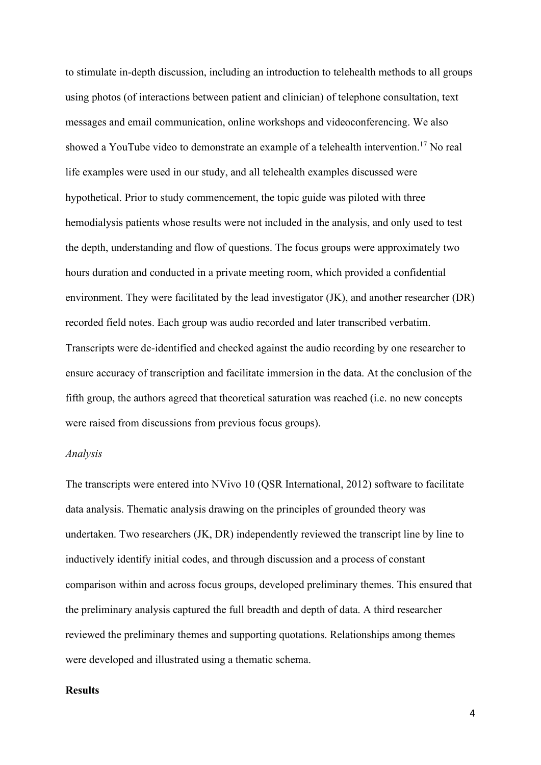to stimulate in-depth discussion, including an introduction to telehealth methods to all groups using photos (of interactions between patient and clinician) of telephone consultation, text messages and email communication, online workshops and videoconferencing. We also showed a YouTube video to demonstrate an example of a telehealth intervention.<sup>17</sup> No real life examples were used in our study, and all telehealth examples discussed were hypothetical. Prior to study commencement, the topic guide was piloted with three hemodialysis patients whose results were not included in the analysis, and only used to test the depth, understanding and flow of questions. The focus groups were approximately two hours duration and conducted in a private meeting room, which provided a confidential environment. They were facilitated by the lead investigator (JK), and another researcher (DR) recorded field notes. Each group was audio recorded and later transcribed verbatim. Transcripts were de-identified and checked against the audio recording by one researcher to ensure accuracy of transcription and facilitate immersion in the data. At the conclusion of the fifth group, the authors agreed that theoretical saturation was reached (i.e. no new concepts were raised from discussions from previous focus groups).

### *Analysis*

The transcripts were entered into NVivo 10 (QSR International, 2012) software to facilitate data analysis. Thematic analysis drawing on the principles of grounded theory was undertaken. Two researchers (JK, DR) independently reviewed the transcript line by line to inductively identify initial codes, and through discussion and a process of constant comparison within and across focus groups, developed preliminary themes. This ensured that the preliminary analysis captured the full breadth and depth of data. A third researcher reviewed the preliminary themes and supporting quotations. Relationships among themes were developed and illustrated using a thematic schema.

### **Results**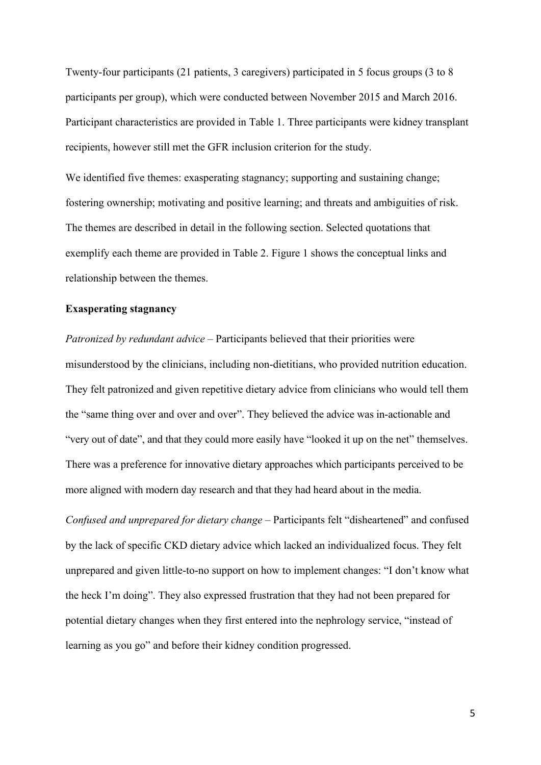Twenty-four participants (21 patients, 3 caregivers) participated in 5 focus groups (3 to 8 participants per group), which were conducted between November 2015 and March 2016. Participant characteristics are provided in Table 1. Three participants were kidney transplant recipients, however still met the GFR inclusion criterion for the study.

We identified five themes: exasperating stagnancy; supporting and sustaining change; fostering ownership; motivating and positive learning; and threats and ambiguities of risk. The themes are described in detail in the following section. Selected quotations that exemplify each theme are provided in Table 2. Figure 1 shows the conceptual links and relationship between the themes.

### **Exasperating stagnancy**

*Patronized by redundant advice* – Participants believed that their priorities were misunderstood by the clinicians, including non-dietitians, who provided nutrition education. They felt patronized and given repetitive dietary advice from clinicians who would tell them the "same thing over and over and over". They believed the advice was in-actionable and "very out of date", and that they could more easily have "looked it up on the net" themselves. There was a preference for innovative dietary approaches which participants perceived to be more aligned with modern day research and that they had heard about in the media.

*Confused and unprepared for dietary change* – Participants felt "disheartened" and confused by the lack of specific CKD dietary advice which lacked an individualized focus. They felt unprepared and given little-to-no support on how to implement changes: "I don't know what the heck I'm doing". They also expressed frustration that they had not been prepared for potential dietary changes when they first entered into the nephrology service, "instead of learning as you go" and before their kidney condition progressed.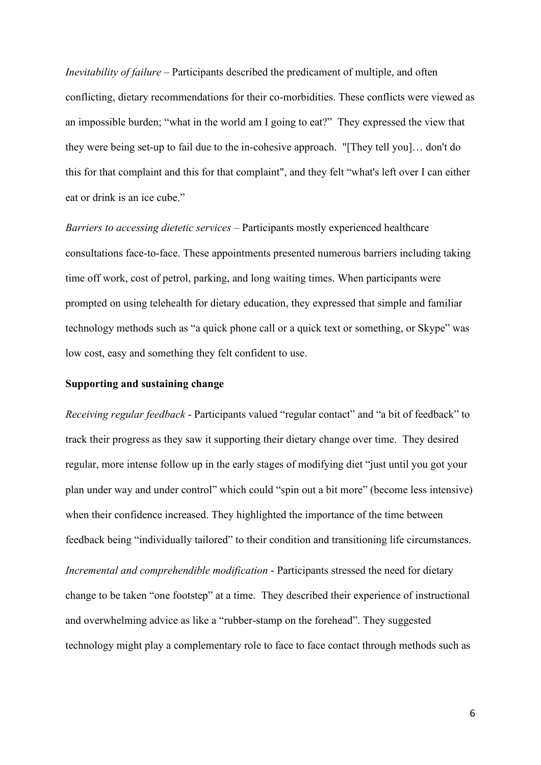*Inevitability of failure* – Participants described the predicament of multiple, and often conflicting, dietary recommendations for their co-morbidities. These conflicts were viewed as an impossible burden; "what in the world am I going to eat?" They expressed the view that they were being set-up to fail due to the in-cohesive approach. "[They tell you]… don't do this for that complaint and this for that complaint", and they felt "what's left over I can either eat or drink is an ice cube."

*Barriers to accessing dietetic services* – Participants mostly experienced healthcare consultations face-to-face. These appointments presented numerous barriers including taking time off work, cost of petrol, parking, and long waiting times. When participants were prompted on using telehealth for dietary education, they expressed that simple and familiar technology methods such as "a quick phone call or a quick text or something, or Skype" was low cost, easy and something they felt confident to use.

## **Supporting and sustaining change**

*Receiving regular feedback* - Participants valued "regular contact" and "a bit of feedback" to track their progress as they saw it supporting their dietary change over time. They desired regular, more intense follow up in the early stages of modifying diet "just until you got your plan under way and under control" which could "spin out a bit more" (become less intensive) when their confidence increased. They highlighted the importance of the time between feedback being "individually tailored" to their condition and transitioning life circumstances. *Incremental and comprehendible modification* - Participants stressed the need for dietary change to be taken "one footstep" at a time. They described their experience of instructional and overwhelming advice as like a "rubber-stamp on the forehead". They suggested technology might play a complementary role to face to face contact through methods such as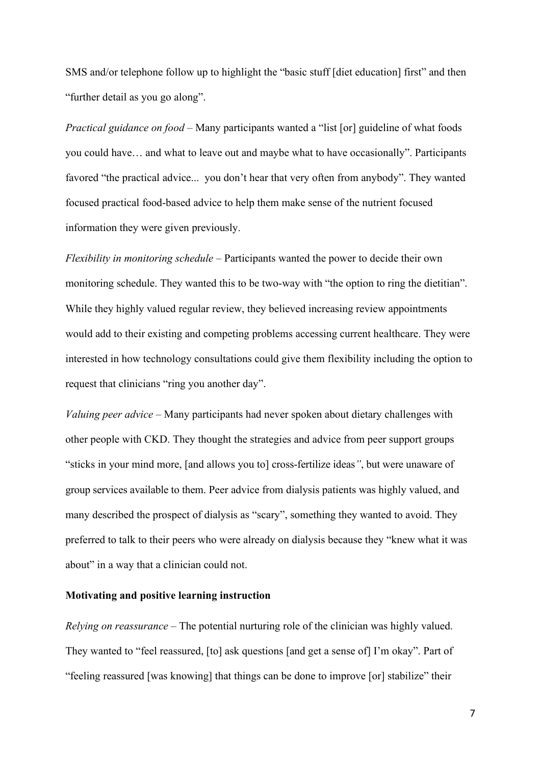SMS and/or telephone follow up to highlight the "basic stuff [diet education] first" and then "further detail as you go along".

*Practical guidance on food* – Many participants wanted a "list [or] guideline of what foods you could have… and what to leave out and maybe what to have occasionally". Participants favored "the practical advice... you don't hear that very often from anybody". They wanted focused practical food-based advice to help them make sense of the nutrient focused information they were given previously.

*Flexibility in monitoring schedule* – Participants wanted the power to decide their own monitoring schedule. They wanted this to be two-way with "the option to ring the dietitian". While they highly valued regular review, they believed increasing review appointments would add to their existing and competing problems accessing current healthcare. They were interested in how technology consultations could give them flexibility including the option to request that clinicians "ring you another day".

*Valuing peer advice* – Many participants had never spoken about dietary challenges with other people with CKD. They thought the strategies and advice from peer support groups "sticks in your mind more, [and allows you to] cross-fertilize ideas*"*, but were unaware of group services available to them. Peer advice from dialysis patients was highly valued, and many described the prospect of dialysis as "scary", something they wanted to avoid. They preferred to talk to their peers who were already on dialysis because they "knew what it was about" in a way that a clinician could not.

### **Motivating and positive learning instruction**

*Relying on reassurance* – The potential nurturing role of the clinician was highly valued. They wanted to "feel reassured, [to] ask questions [and get a sense of] I'm okay". Part of "feeling reassured [was knowing] that things can be done to improve [or] stabilize" their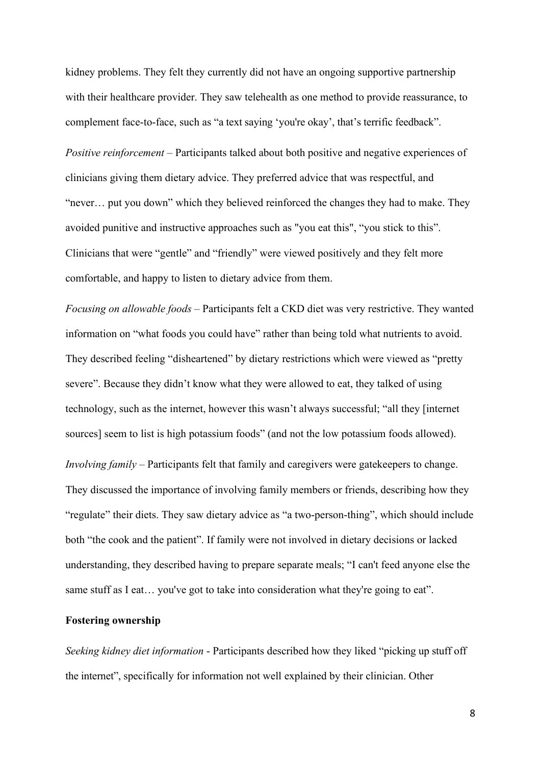kidney problems. They felt they currently did not have an ongoing supportive partnership with their healthcare provider. They saw telehealth as one method to provide reassurance, to complement face-to-face, such as "a text saying 'you're okay', that's terrific feedback".

*Positive reinforcement* – Participants talked about both positive and negative experiences of clinicians giving them dietary advice. They preferred advice that was respectful, and "never… put you down" which they believed reinforced the changes they had to make. They avoided punitive and instructive approaches such as "you eat this", "you stick to this". Clinicians that were "gentle" and "friendly" were viewed positively and they felt more comfortable, and happy to listen to dietary advice from them.

*Focusing on allowable foods* – Participants felt a CKD diet was very restrictive. They wanted information on "what foods you could have" rather than being told what nutrients to avoid. They described feeling "disheartened" by dietary restrictions which were viewed as "pretty severe". Because they didn't know what they were allowed to eat, they talked of using technology, such as the internet, however this wasn't always successful; "all they [internet sources] seem to list is high potassium foods" (and not the low potassium foods allowed). *Involving family* – Participants felt that family and caregivers were gatekeepers to change. They discussed the importance of involving family members or friends, describing how they "regulate" their diets. They saw dietary advice as "a two-person-thing", which should include both "the cook and the patient". If family were not involved in dietary decisions or lacked understanding, they described having to prepare separate meals; "I can't feed anyone else the same stuff as I eat... you've got to take into consideration what they're going to eat".

### **Fostering ownership**

*Seeking kidney diet information* - Participants described how they liked "picking up stuff off the internet", specifically for information not well explained by their clinician. Other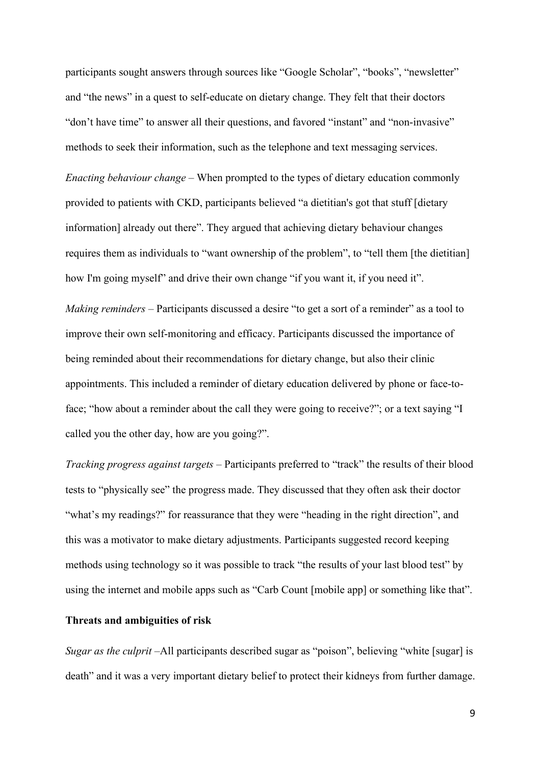participants sought answers through sources like "Google Scholar", "books", "newsletter" and "the news" in a quest to self-educate on dietary change. They felt that their doctors "don't have time" to answer all their questions, and favored "instant" and "non-invasive" methods to seek their information, such as the telephone and text messaging services.

*Enacting behaviour change* – When prompted to the types of dietary education commonly provided to patients with CKD, participants believed "a dietitian's got that stuff [dietary information] already out there". They argued that achieving dietary behaviour changes requires them as individuals to "want ownership of the problem", to "tell them [the dietitian] how I'm going myself" and drive their own change "if you want it, if you need it".

*Making reminders* – Participants discussed a desire "to get a sort of a reminder" as a tool to improve their own self-monitoring and efficacy. Participants discussed the importance of being reminded about their recommendations for dietary change, but also their clinic appointments. This included a reminder of dietary education delivered by phone or face-toface; "how about a reminder about the call they were going to receive?"; or a text saying "I called you the other day, how are you going?".

*Tracking progress against targets* – Participants preferred to "track" the results of their blood tests to "physically see" the progress made. They discussed that they often ask their doctor "what's my readings?" for reassurance that they were "heading in the right direction", and this was a motivator to make dietary adjustments. Participants suggested record keeping methods using technology so it was possible to track "the results of your last blood test" by using the internet and mobile apps such as "Carb Count [mobile app] or something like that".

### **Threats and ambiguities of risk**

*Sugar as the culprit* –All participants described sugar as "poison", believing "white [sugar] is death" and it was a very important dietary belief to protect their kidneys from further damage.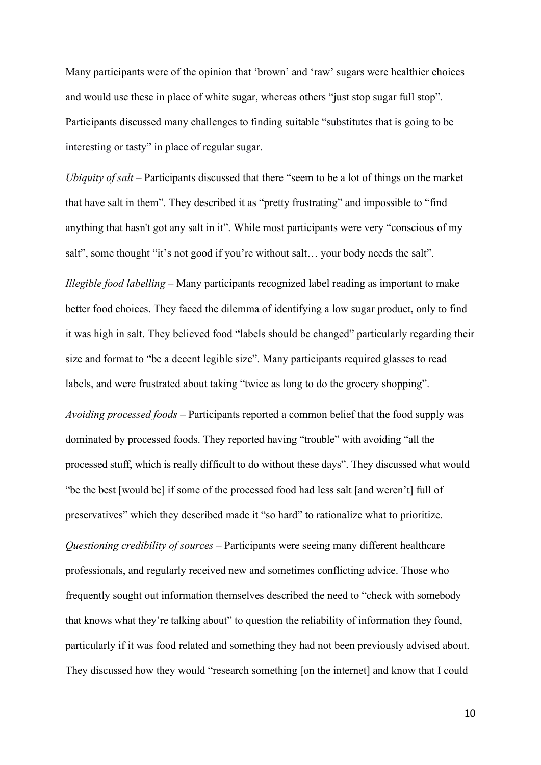Many participants were of the opinion that 'brown' and 'raw' sugars were healthier choices and would use these in place of white sugar, whereas others "just stop sugar full stop". Participants discussed many challenges to finding suitable "substitutes that is going to be interesting or tasty" in place of regular sugar.

*Ubiquity of salt* – Participants discussed that there "seem to be a lot of things on the market that have salt in them". They described it as "pretty frustrating" and impossible to "find anything that hasn't got any salt in it". While most participants were very "conscious of my salt", some thought "it's not good if you're without salt... your body needs the salt".

*Illegible food labelling* – Many participants recognized label reading as important to make better food choices. They faced the dilemma of identifying a low sugar product, only to find it was high in salt. They believed food "labels should be changed" particularly regarding their size and format to "be a decent legible size". Many participants required glasses to read labels, and were frustrated about taking "twice as long to do the grocery shopping".

*Avoiding processed foods –* Participants reported a common belief that the food supply was dominated by processed foods. They reported having "trouble" with avoiding "all the processed stuff, which is really difficult to do without these days". They discussed what would "be the best [would be] if some of the processed food had less salt [and weren't] full of preservatives" which they described made it "so hard" to rationalize what to prioritize.

*Questioning credibility of sources* – Participants were seeing many different healthcare professionals, and regularly received new and sometimes conflicting advice. Those who frequently sought out information themselves described the need to "check with somebody that knows what they're talking about" to question the reliability of information they found, particularly if it was food related and something they had not been previously advised about. They discussed how they would "research something [on the internet] and know that I could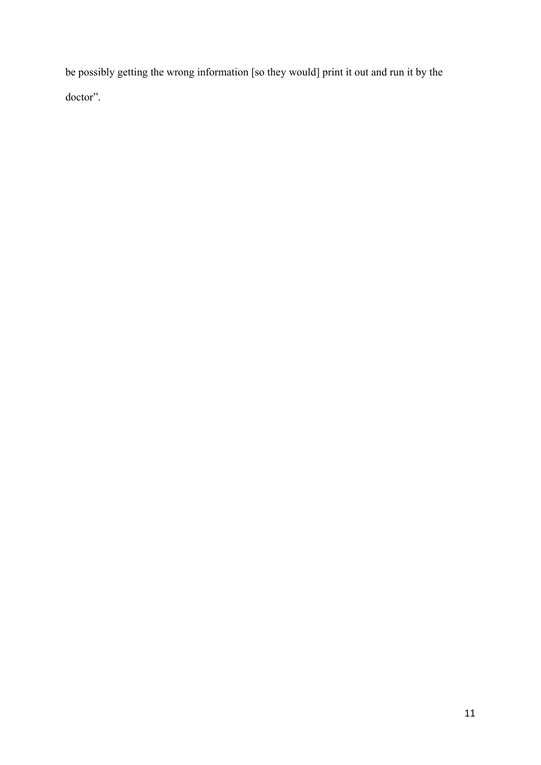be possibly getting the wrong information [so they would] print it out and run it by the doctor".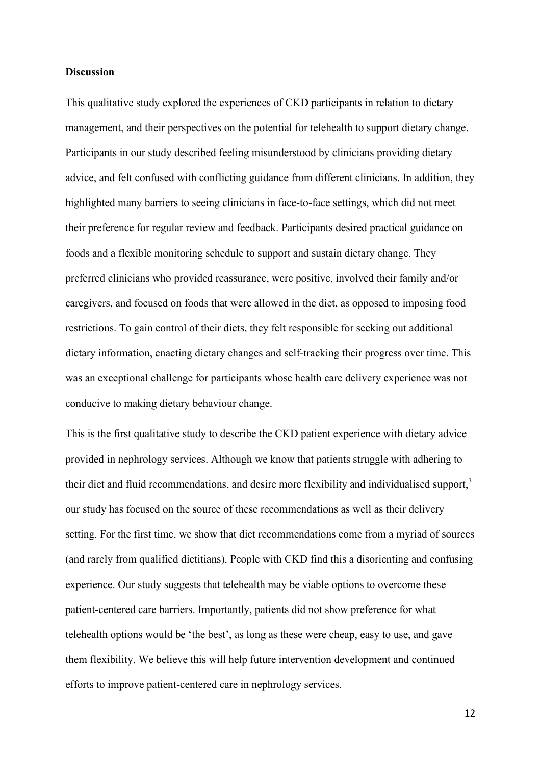### **Discussion**

This qualitative study explored the experiences of CKD participants in relation to dietary management, and their perspectives on the potential for telehealth to support dietary change. Participants in our study described feeling misunderstood by clinicians providing dietary advice, and felt confused with conflicting guidance from different clinicians. In addition, they highlighted many barriers to seeing clinicians in face-to-face settings, which did not meet their preference for regular review and feedback. Participants desired practical guidance on foods and a flexible monitoring schedule to support and sustain dietary change. They preferred clinicians who provided reassurance, were positive, involved their family and/or caregivers, and focused on foods that were allowed in the diet, as opposed to imposing food restrictions. To gain control of their diets, they felt responsible for seeking out additional dietary information, enacting dietary changes and self-tracking their progress over time. This was an exceptional challenge for participants whose health care delivery experience was not conducive to making dietary behaviour change.

This is the first qualitative study to describe the CKD patient experience with dietary advice provided in nephrology services. Although we know that patients struggle with adhering to their diet and fluid recommendations, and desire more flexibility and individualised support, $3$ our study has focused on the source of these recommendations as well as their delivery setting. For the first time, we show that diet recommendations come from a myriad of sources (and rarely from qualified dietitians). People with CKD find this a disorienting and confusing experience. Our study suggests that telehealth may be viable options to overcome these patient-centered care barriers. Importantly, patients did not show preference for what telehealth options would be 'the best', as long as these were cheap, easy to use, and gave them flexibility. We believe this will help future intervention development and continued efforts to improve patient-centered care in nephrology services.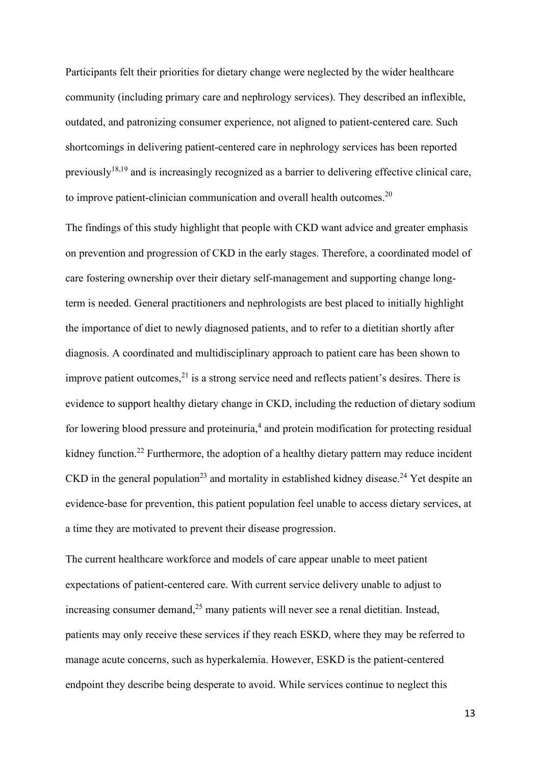Participants felt their priorities for dietary change were neglected by the wider healthcare community (including primary care and nephrology services). They described an inflexible, outdated, and patronizing consumer experience, not aligned to patient-centered care. Such shortcomings in delivering patient-centered care in nephrology services has been reported previously<sup>18,19</sup> and is increasingly recognized as a barrier to delivering effective clinical care, to improve patient-clinician communication and overall health outcomes.<sup>20</sup>

The findings of this study highlight that people with CKD want advice and greater emphasis on prevention and progression of CKD in the early stages. Therefore, a coordinated model of care fostering ownership over their dietary self-management and supporting change longterm is needed. General practitioners and nephrologists are best placed to initially highlight the importance of diet to newly diagnosed patients, and to refer to a dietitian shortly after diagnosis. A coordinated and multidisciplinary approach to patient care has been shown to improve patient outcomes, $^{21}$  is a strong service need and reflects patient's desires. There is evidence to support healthy dietary change in CKD, including the reduction of dietary sodium for lowering blood pressure and proteinuria,<sup>4</sup> and protein modification for protecting residual kidney function.<sup>22</sup> Furthermore, the adoption of a healthy dietary pattern may reduce incident CKD in the general population<sup>23</sup> and mortality in established kidney disease.<sup>24</sup> Yet despite an evidence-base for prevention, this patient population feel unable to access dietary services, at a time they are motivated to prevent their disease progression.

The current healthcare workforce and models of care appear unable to meet patient expectations of patient-centered care. With current service delivery unable to adjust to increasing consumer demand, $^{25}$  many patients will never see a renal dietitian. Instead, patients may only receive these services if they reach ESKD, where they may be referred to manage acute concerns, such as hyperkalemia. However, ESKD is the patient-centered endpoint they describe being desperate to avoid. While services continue to neglect this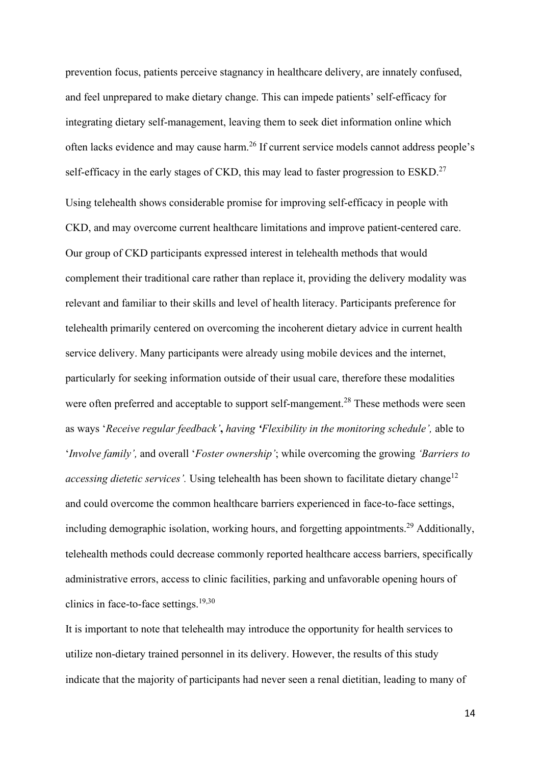prevention focus, patients perceive stagnancy in healthcare delivery, are innately confused, and feel unprepared to make dietary change. This can impede patients' self-efficacy for integrating dietary self-management, leaving them to seek diet information online which often lacks evidence and may cause harm.<sup>26</sup> If current service models cannot address people's self-efficacy in the early stages of CKD, this may lead to faster progression to ESKD.<sup>27</sup> Using telehealth shows considerable promise for improving self-efficacy in people with CKD, and may overcome current healthcare limitations and improve patient-centered care. Our group of CKD participants expressed interest in telehealth methods that would complement their traditional care rather than replace it, providing the delivery modality was relevant and familiar to their skills and level of health literacy. Participants preference for telehealth primarily centered on overcoming the incoherent dietary advice in current health service delivery. Many participants were already using mobile devices and the internet, particularly for seeking information outside of their usual care, therefore these modalities were often preferred and acceptable to support self-mangement.<sup>28</sup> These methods were seen as ways '*Receive regular feedback'***,** *having 'Flexibility in the monitoring schedule',* able to '*Involve family',* and overall '*Foster ownership'*; while overcoming the growing *'Barriers to accessing dietetic services'*. Using telehealth has been shown to facilitate dietary change<sup>12</sup> and could overcome the common healthcare barriers experienced in face-to-face settings, including demographic isolation, working hours, and forgetting appointments.<sup>29</sup> Additionally, telehealth methods could decrease commonly reported healthcare access barriers, specifically administrative errors, access to clinic facilities, parking and unfavorable opening hours of clinics in face-to-face settings. $19,30$ 

It is important to note that telehealth may introduce the opportunity for health services to utilize non-dietary trained personnel in its delivery. However, the results of this study indicate that the majority of participants had never seen a renal dietitian, leading to many of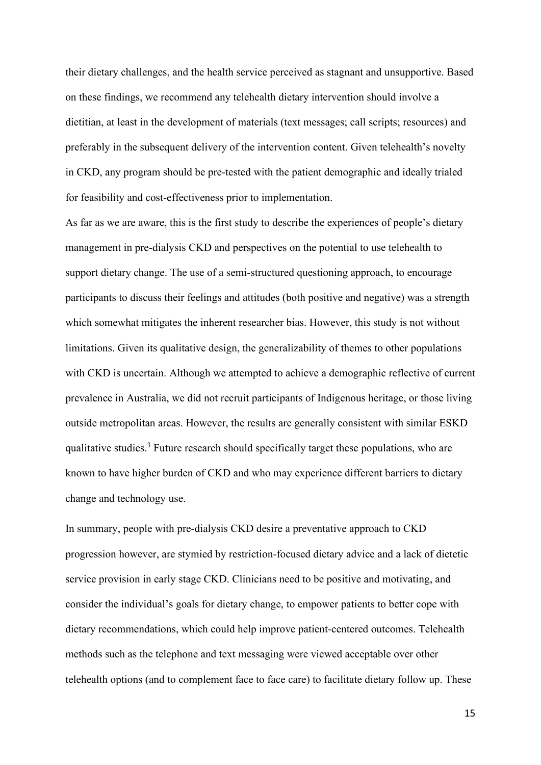their dietary challenges, and the health service perceived as stagnant and unsupportive. Based on these findings, we recommend any telehealth dietary intervention should involve a dietitian, at least in the development of materials (text messages; call scripts; resources) and preferably in the subsequent delivery of the intervention content. Given telehealth's novelty in CKD, any program should be pre-tested with the patient demographic and ideally trialed for feasibility and cost-effectiveness prior to implementation.

As far as we are aware, this is the first study to describe the experiences of people's dietary management in pre-dialysis CKD and perspectives on the potential to use telehealth to support dietary change. The use of a semi-structured questioning approach, to encourage participants to discuss their feelings and attitudes (both positive and negative) was a strength which somewhat mitigates the inherent researcher bias. However, this study is not without limitations. Given its qualitative design, the generalizability of themes to other populations with CKD is uncertain. Although we attempted to achieve a demographic reflective of current prevalence in Australia, we did not recruit participants of Indigenous heritage, or those living outside metropolitan areas. However, the results are generally consistent with similar ESKD qualitative studies.<sup>3</sup> Future research should specifically target these populations, who are known to have higher burden of CKD and who may experience different barriers to dietary change and technology use.

In summary, people with pre-dialysis CKD desire a preventative approach to CKD progression however, are stymied by restriction-focused dietary advice and a lack of dietetic service provision in early stage CKD. Clinicians need to be positive and motivating, and consider the individual's goals for dietary change, to empower patients to better cope with dietary recommendations, which could help improve patient-centered outcomes. Telehealth methods such as the telephone and text messaging were viewed acceptable over other telehealth options (and to complement face to face care) to facilitate dietary follow up. These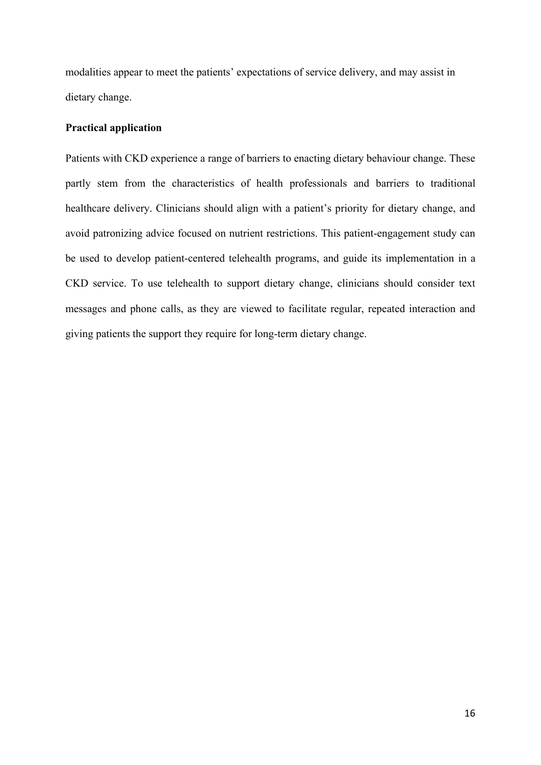modalities appear to meet the patients' expectations of service delivery, and may assist in dietary change.

### **Practical application**

Patients with CKD experience a range of barriers to enacting dietary behaviour change. These partly stem from the characteristics of health professionals and barriers to traditional healthcare delivery. Clinicians should align with a patient's priority for dietary change, and avoid patronizing advice focused on nutrient restrictions. This patient-engagement study can be used to develop patient-centered telehealth programs, and guide its implementation in a CKD service. To use telehealth to support dietary change, clinicians should consider text messages and phone calls, as they are viewed to facilitate regular, repeated interaction and giving patients the support they require for long-term dietary change.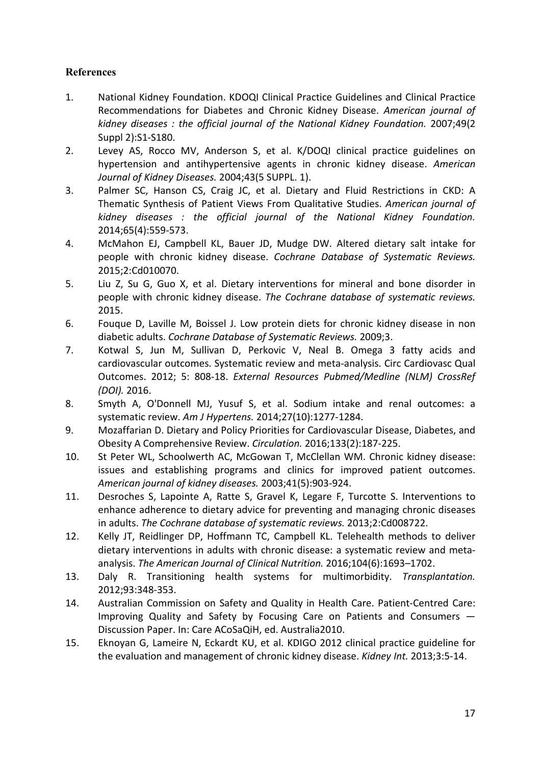## **References**

- 1. National Kidney Foundation. KDOQI Clinical Practice Guidelines and Clinical Practice Recommendations for Diabetes and Chronic Kidney Disease. *American journal of kidney diseases : the official journal of the National Kidney Foundation.* 2007;49(2 Suppl 2):S1-S180.
- 2. Levey AS, Rocco MV, Anderson S, et al. K/DOQI clinical practice guidelines on hypertension and antihypertensive agents in chronic kidney disease. *American Journal of Kidney Diseases.* 2004;43(5 SUPPL. 1).
- 3. Palmer SC, Hanson CS, Craig JC, et al. Dietary and Fluid Restrictions in CKD: A Thematic Synthesis of Patient Views From Qualitative Studies. *American journal of kidney diseases : the official journal of the National Kidney Foundation.*  2014;65(4):559-573.
- 4. McMahon EJ, Campbell KL, Bauer JD, Mudge DW. Altered dietary salt intake for people with chronic kidney disease. *Cochrane Database of Systematic Reviews.*  2015;2:Cd010070.
- 5. Liu Z, Su G, Guo X, et al. Dietary interventions for mineral and bone disorder in people with chronic kidney disease. *The Cochrane database of systematic reviews.*  2015.
- 6. Fouque D, Laville M, Boissel J. Low protein diets for chronic kidney disease in non diabetic adults. *Cochrane Database of Systematic Reviews.* 2009;3.
- 7. Kotwal S, Jun M, Sullivan D, Perkovic V, Neal B. Omega 3 fatty acids and cardiovascular outcomes. Systematic review and meta-analysis. Circ Cardiovasc Qual Outcomes. 2012; 5: 808-18. *External Resources Pubmed/Medline (NLM) CrossRef (DOI).* 2016.
- 8. Smyth A, O'Donnell MJ, Yusuf S, et al. Sodium intake and renal outcomes: a systematic review. *Am J Hypertens.* 2014;27(10):1277-1284.
- 9. Mozaffarian D. Dietary and Policy Priorities for Cardiovascular Disease, Diabetes, and Obesity A Comprehensive Review. *Circulation.* 2016;133(2):187-225.
- 10. St Peter WL, Schoolwerth AC, McGowan T, McClellan WM. Chronic kidney disease: issues and establishing programs and clinics for improved patient outcomes. *American journal of kidney diseases.* 2003;41(5):903-924.
- 11. Desroches S, Lapointe A, Ratte S, Gravel K, Legare F, Turcotte S. Interventions to enhance adherence to dietary advice for preventing and managing chronic diseases in adults. *The Cochrane database of systematic reviews.* 2013;2:Cd008722.
- 12. Kelly JT, Reidlinger DP, Hoffmann TC, Campbell KL. Telehealth methods to deliver dietary interventions in adults with chronic disease: a systematic review and metaanalysis. *The American Journal of Clinical Nutrition.* 2016;104(6):1693–1702.
- 13. Daly R. Transitioning health systems for multimorbidity. *Transplantation.*  2012;93:348-353.
- 14. Australian Commission on Safety and Quality in Health Care. Patient-Centred Care: Improving Quality and Safety by Focusing Care on Patients and Consumers — Discussion Paper. In: Care ACoSaQiH, ed. Australia2010.
- 15. Eknoyan G, Lameire N, Eckardt KU, et al. KDIGO 2012 clinical practice guideline for the evaluation and management of chronic kidney disease. *Kidney Int.* 2013;3:5-14.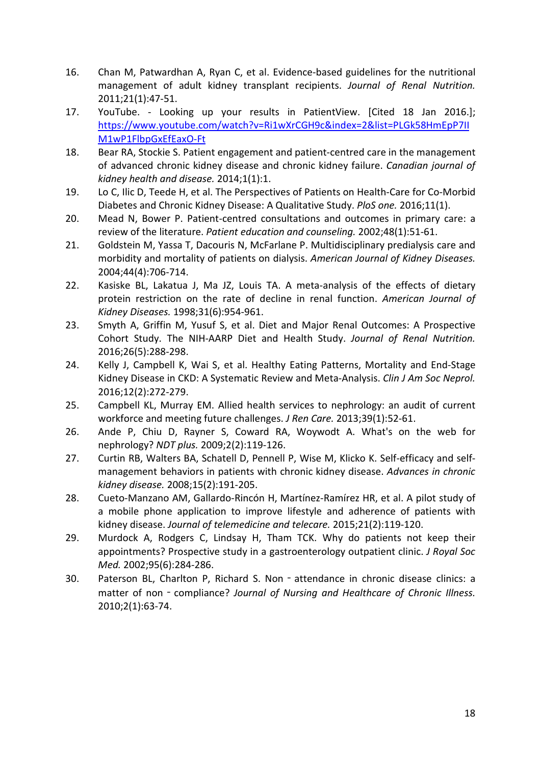- 16. Chan M, Patwardhan A, Ryan C, et al. Evidence-based guidelines for the nutritional management of adult kidney transplant recipients. *Journal of Renal Nutrition.*  2011;21(1):47-51.
- 17. YouTube. Looking up your results in PatientView. [Cited 18 Jan 2016.]; [https://www.youtube.com/watch?v=Ri1wXrCGH9c&index=2&list=PLGk58HmEpP7II](https://www.youtube.com/watch?v=Ri1wXrCGH9c&index=2&list=PLGk58HmEpP7IIM1wP1FlbpGxEfEaxO-Ft) [M1wP1FlbpGxEfEaxO-Ft](https://www.youtube.com/watch?v=Ri1wXrCGH9c&index=2&list=PLGk58HmEpP7IIM1wP1FlbpGxEfEaxO-Ft)
- 18. Bear RA, Stockie S. Patient engagement and patient-centred care in the management of advanced chronic kidney disease and chronic kidney failure. *Canadian journal of kidney health and disease.* 2014;1(1):1.
- 19. Lo C, Ilic D, Teede H, et al. The Perspectives of Patients on Health-Care for Co-Morbid Diabetes and Chronic Kidney Disease: A Qualitative Study. *PloS one.* 2016;11(1).
- 20. Mead N, Bower P. Patient-centred consultations and outcomes in primary care: a review of the literature. *Patient education and counseling.* 2002;48(1):51-61.
- 21. Goldstein M, Yassa T, Dacouris N, McFarlane P. Multidisciplinary predialysis care and morbidity and mortality of patients on dialysis. *American Journal of Kidney Diseases.*  2004;44(4):706-714.
- 22. Kasiske BL, Lakatua J, Ma JZ, Louis TA. A meta-analysis of the effects of dietary protein restriction on the rate of decline in renal function. *American Journal of Kidney Diseases.* 1998;31(6):954-961.
- 23. Smyth A, Griffin M, Yusuf S, et al. Diet and Major Renal Outcomes: A Prospective Cohort Study. The NIH-AARP Diet and Health Study. *Journal of Renal Nutrition.*  2016;26(5):288-298.
- 24. Kelly J, Campbell K, Wai S, et al. Healthy Eating Patterns, Mortality and End-Stage Kidney Disease in CKD: A Systematic Review and Meta-Analysis. *Clin J Am Soc Neprol.*  2016;12(2):272-279.
- 25. Campbell KL, Murray EM. Allied health services to nephrology: an audit of current workforce and meeting future challenges. *J Ren Care.* 2013;39(1):52-61.
- 26. Ande P, Chiu D, Rayner S, Coward RA, Woywodt A. What's on the web for nephrology? *NDT plus.* 2009;2(2):119-126.
- 27. Curtin RB, Walters BA, Schatell D, Pennell P, Wise M, Klicko K. Self-efficacy and selfmanagement behaviors in patients with chronic kidney disease. *Advances in chronic kidney disease.* 2008;15(2):191-205.
- 28. Cueto-Manzano AM, Gallardo-Rincón H, Martínez-Ramírez HR, et al. A pilot study of a mobile phone application to improve lifestyle and adherence of patients with kidney disease. *Journal of telemedicine and telecare.* 2015;21(2):119-120.
- 29. Murdock A, Rodgers C, Lindsay H, Tham TCK. Why do patients not keep their appointments? Prospective study in a gastroenterology outpatient clinic. *J Royal Soc Med.* 2002;95(6):284-286.
- 30. Paterson BL, Charlton P, Richard S. Non‐attendance in chronic disease clinics: a matter of non - compliance? *Journal of Nursing and Healthcare of Chronic Illness.* 2010;2(1):63-74.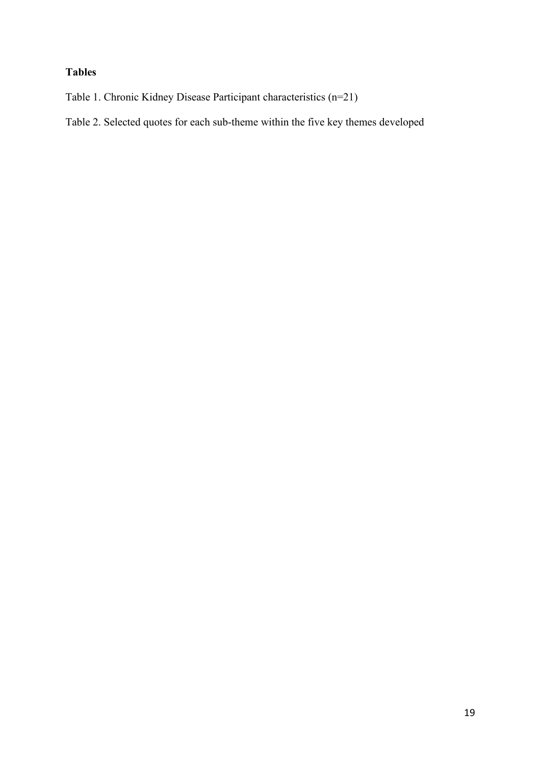# **Tables**

Table 1. Chronic Kidney Disease Participant characteristics (n=21)

Table 2. Selected quotes for each sub-theme within the five key themes developed